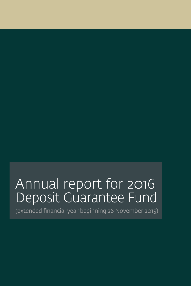# Annual report for 2016 Deposit Guarantee Fund

(extended financial year beginning 26 November 2015)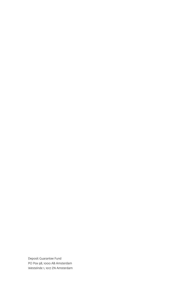Deposit Guarantee Fund PO Pox 98, 1000 AB Amsterdam Westeinde 1, 1017 ZN Amsterdam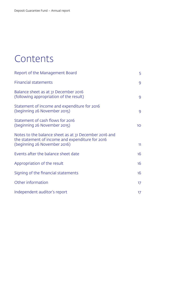## Contents

| Report of the Management Board                                                                                                            | 5              |
|-------------------------------------------------------------------------------------------------------------------------------------------|----------------|
| <b>Financial statements</b>                                                                                                               | 9              |
| Balance sheet as at 31 December 2016<br>(following appropriation of the result)                                                           | 9              |
| Statement of income and expenditure for 2016<br>(beginning 26 November 2015)                                                              | $\overline{9}$ |
| Statement of cash flows for 2016<br>(beginning 26 November 2015)                                                                          | 10             |
| Notes to the balance sheet as at 31 December 2016 and<br>the statement of income and expenditure for 2016<br>(beginning 26 November 2016) | 11             |
| Events after the balance sheet date                                                                                                       | 16             |
| Appropriation of the result                                                                                                               | 16             |
| Signing of the financial statements                                                                                                       | 16             |
| Other information                                                                                                                         | 17             |
| Independent auditor's report                                                                                                              | 17             |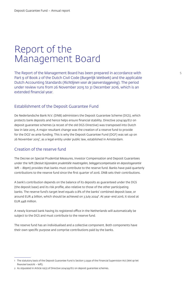## Report of the Management Board

The Report of the Management Board has been prepared in accordance with Part 9 of Book 2 of the Dutch Civil Code (*Burgerlijk Wetboek*) and the applicable Dutch Accounting Standards (*Richtlijnen voor de Jaarverslaggeving*). The period under review runs from 26 November 2015 to 31 December 2016, which is an extended financial year.

## Establishment of the Deposit Guarantee Fund

De Nederlandsche Bank N.V. (DNB) administers the Deposit Guarantee Scheme (DGS), which protects bank deposits and hence helps ensure financial stability. Directive 2014/49/EU on deposit guarantee schemes (a recast of the old DGS Directive) was transposed into Dutch law in late 2015. A major resultant change was the creation of a reserve fund to provide for the DGS' ex ante funding. This is why the Deposit Guarantee Fund (DGF) was set up on 26 November 2015<sup>1</sup>, as a legal entity under public law, established in Amsterdam.

## Creation of the reserve fund

The Decree on Special Prudential Measures, Investor Compensation and Deposit Guarantees under the Wft (*Besluit bijzondere prudentiële maatregelen, beleggerscompensatie en depositogarantie Wft – Bbpm*) provides that banks must contribute to the reserve fund. Banks have paid quarterly contributions to the reserve fund since the first quarter of 2016. DNB sets their contributions.

A bank's contribution depends on the balance of its deposits as guaranteed under the DGS (the deposit base) and its risk profile, also relative to those of the other participating banks. The reserve fund's target level equals 0.8% of the banks' combined deposit base, or around EUR 4 billion, which should be achieved on 3 July 2024². At year-end 2016, it stood at EUR 448 million.

A newly licensed bank having its registered office in the Netherlands will automatically be subject to the DGS and must contribute to the reserve fund.

The reserve fund has an individualised and a collective component. Both components have their own specific purpose and comprise contributions paid by the banks.

<sup>1</sup> The statutory basis of the Deposit Guarantee Fund is Section 3:259a of the Financial Supervision Act (*Wet op het financieel toezicht – Wft*).

<sup>2</sup> As stipulated in Article 10(2) of Directive 2014/49/EU on deposit guarantee schemes.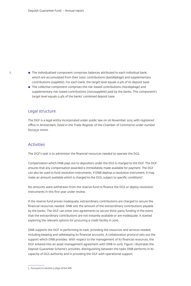- $\blacksquare$  The individualised component comprises balances attributed to each individual bank, which are accumulated from their basic contributions (*basisbijdrage*) and supplementary contributions (*suppletie*). For each bank, the target level equals 0.4% of its deposit base.
- The collective component comprises the risk-based contributions (*risicobijdrage*) and supplementary risk-based contributions (*risicosuppletie*) paid by the banks. This component's target level equals 0.4% of the banks' combined deposit base.

### Legal structure

The DGF is a legal entity incorporated under public law on 26 November 2015 with registered office in Amsterdam, listed in the Trade Register of the Chamber of Commerce under number 6503532 0000.

## Activities

The DGF's task is to administer the financial resources needed to operate the DGS.

Compensation which DNB pays out to depositors under the DGS is charged to the DGF. The DGF ensures that any compensation awarded is immediately made available for payment. The DGF can also be used to fund resolution instruments. If DNB deploys a resolution instrument, it may make an amount available which is charged to the DGS, subject to specific conditions<sup>3</sup>.

No amounts were withdrawn from the reserve fund to finance the DGS or deploy resolution instruments in this first year under review.

If the reserve fund proves inadequate, extraordinary contributions are charged to secure the financial resources needed. DNB sets the amount of the extraordinary contributions payable by the banks. The DGF can enter into agreements to secure third-party funding in the event that the extraordinary contributions are not instantly available or are inadequate. It started exploring the relevant options for procuring a credit facility in 2016.

DNB supports the DGF in performing its task, providing the resources and services needed, including keeping and safekeeping its financial accounts. A collaboration protocol sets out the support which DNB provides. With respect to the management of its financial resources, the DGF entered into an asset management agreement with DNB in 2016. Figure 1 illustrates the Deposit Guarantee Scheme's activities, distinguishing between the tasks DNB performs in its capacity of DGS authority and in providing the DGF with operational support.

<sup>3</sup> Pursuant to Section 3:265e of the *Wft.*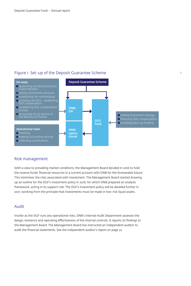## Figure 1 Set-up of the Deposit Guarantee Scheme



## Risk management

With a view to prevailing market conditions, the Management Board decided in 2016 to hold the reserve funds' financial resources in a current account with DNB for the foreseeable future. This minimises the risks associated with investment. The Management Board started drawing up an outline for the DGF's investment policy in 2016, for which DNB prepared an analysis framework, acting in its support role. The DGF's investment policy will be detailed further in 2017, working from the principle that investments must be made in low-risk liquid assets.

## Audit

Insofar as the DGF runs any operational risks, DNB's Internal Audit Department assesses the design, existence and operating effectiveness of the internal controls. It reports its findings to the Management Board. The Management Board has instructed an independent auditor to audit the financial statements. See the independent auditor's report on page 22.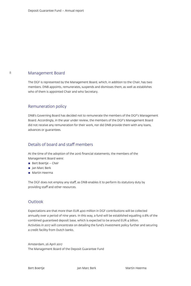### Management Board

8

The DGF is represented by the Management Board, which, in addition to the Chair, has two members. DNB appoints, remunerates, suspends and dismisses them, as well as establishes who of them is appointed Chair and who Secretary.

## Remuneration policy

DNB's Governing Board has decided not to remunerate the members of the DGF's Management Board. Accordingly, in the year under review, the members of the DGF's Management Board did not receive any remuneration for their work, nor did DNB provide them with any loans, advances or guarantees.

## Details of board and staff members

At the time of the adoption of the 2016 financial statements, the members of the Management Board were:

- Bert Boertje Chair
- Jan Marc Berk
- Martin Heerma

The DGF does not employ any staff, as DNB enables it to perform its statutory duty by providing staff and other resources.

## **Outlook**

Expectations are that more than EUR 400 million in DGF contributions will be collected annually over a period of nine years. In this way, a fund will be established equalling 0.8% of the combined guaranteed deposit base, which is expected to be around EUR 4 billion. Activities in 2017 will concentrate on detailing the fund's investment policy further and securing a credit facility from Dutch banks.

Amsterdam, 26 April 2017 The Management Board of the Deposit Guarantee Fund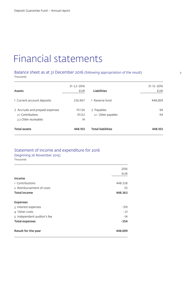## Financial statements

## Balance sheet as at 31 December 2016 (following appropriation of the result) Thousands

| Assets                                                                       | $31 - 12 - 2016$<br>EUR  | <b>Liabilities</b>               | $31 - 12 - 2016$<br><b>EUR</b> |
|------------------------------------------------------------------------------|--------------------------|----------------------------------|--------------------------------|
| 1 Current account deposits                                                   | 336.967                  | 1 Reserve fund                   | 448,009                        |
| 2 Accruals and prepaid expenses<br>21 Contributions<br>2.2 Other receivables | 111.136<br>111.122<br>14 | 2 Payables<br>2.1 Other payables | 94<br>94                       |
| <b>Total assets</b>                                                          | 448.103                  | <b>Total liabilities</b>         | 448.103                        |

## Statement of income and expenditure for 2016

## (beginning 26 November 2015)

Thousands

|                             | 2016       |
|-----------------------------|------------|
|                             | <b>EUR</b> |
| Income                      |            |
| 1 Contributions             | 448.328    |
| 2 Reimbursement of costs    | 35         |
| <b>Total income</b>         | 448.363    |
| <b>Expenses</b>             |            |
| 3 Interest expenses         | $-319$     |
| 4 Other costs               | $-21$      |
| 5 Independent auditor's fee | $-14$      |
| <b>Total expenses</b>       | $-354$     |
| Result for the year         | 448.009    |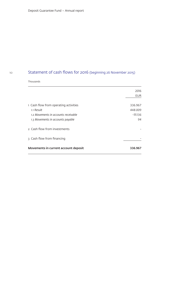#### 10

## Statement of cash flows for 2016 (beginning 26 November 2015)

## Thousands

|                                       | 2016       |
|---------------------------------------|------------|
|                                       | <b>EUR</b> |
| 1 Cash flow from operating activities | 336.967    |
| 1.1 Result                            | 448.009    |
| 1.2 Movements in accounts receivable  | -111.136   |
| 1.3 Movements in accounts payable     | 94         |
| 2 Cash flow from investments          |            |
| 3 Cash flow from financing            |            |
| Movements in current account deposit  | 336.967    |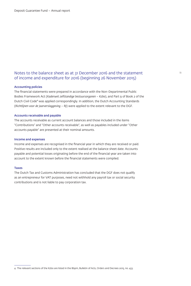## Notes to the balance sheet as at 31 December 2016 and the statement of income and expenditure for 2016 (beginning 26 November 2015)

#### Accounting policies

The financial statements were prepared in accordance with the Non-Departmental Public Bodies Framework Act (*Kaderwet zelfstandige bestuursorganen – Kzbo*), and Part 9 of Book 2 of the Dutch Civil Code<sup>4</sup> was applied correspondingly. In addition, the Dutch Accounting Standards (*Richtlijnen voor de Jaarverslaggeving – RJ*) were applied to the extent relevant to the DGF.

#### Accounts receivable and payable

The accounts receivable as current account balances and those included in the items "Contributions" and "Other accounts receivable", as well as payables included under "Other accounts payable" are presented at their nominal amounts.

#### Income and expenses

Income and expenses are recognised in the financial year in which they are received or paid. Positive results are included only to the extent realised at the balance sheet date. Accounts payable and potential losses originating before the end of the financial year are taken into account to the extent known before the financial statements were compiled.

#### Taxes

The Dutch Tax and Customs Administration has concluded that the DGF does not qualify as an entrepreneur for VAT purposes, need not withhold any payroll tax or social security contributions and is not liable to pay corporation tax.

<sup>4</sup> The relevant sections of the Kzbo are listed in the Bbpm, Bulletin of Acts, Orders and Decrees 2015, no. 433.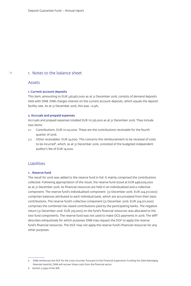#### 1. Notes to the balance sheet

#### Assets

#### 1. Current account deposits

This item, amounting to EUR 336,967,000 as at 31 December 2016, consists of demand deposits held with DNB. DNB charges interest on the current account deposits, which equals the deposit facility rate. As at 31 December 2016, this was -0.4%.

#### 2. Accruals and prepaid expenses

Accruals and prepaid expenses totalled EUR 111,136,000 as at 31 December 2016. They include two items:

- 2.1 Contributions: EUR 111,122,000. These are the contributions receivable for the fourth quarter of 2016.
- 2.2 Other receivables: EUR 14,000. This concerns the reimbursement to be received of costs to be incurred<sup>5</sup>, which, as at 31 December 2016, consisted of the budgeted independent auditor's fee of EUR 14,000.

## Liabilities

#### 1. . Reserve fund

The result for 2016 was added to the reserve fund in full. It mainly comprised the contributions collected. Following appropriation of the result, the reserve fund stood at EUR 448,009,000 as at 31 December 2016. Its financial resources are held in an individualised and a collective component. The reserve fund's individualised component (31 December 2016: EUR 224,317,000) comprises balances attributed to each individual bank, which are accumulated from their basic contributions. The reserve fund's collective component (31 December 2016: EUR 224,011,000) comprises the combined risk-based contributions paid by the participating banks. The negative return (31 December 2016: EUR 319,000) on the fund's financial resources was allocated to the two fund components. The reserve fund was not used to make DGS payments in 2016. The Wft<sup>6</sup> describes exhaustively for which purposes DNB may request the DGF to apply the reserve fund's financial resources. The DGF may not apply the reserve fund's financial resources for any other purposes.

<sup>5</sup> DNB reimburses the DGF for the costs incurred. Pursuant to the Financial Supervision Funding Act (*Wet bekostiging financieel toezicht*), DNB will recover these costs from the financial sector.

<sup>6</sup> Section 3:259a of the *Wft.*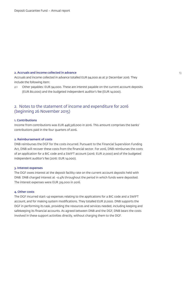#### 2. Accruals and income collected in advance 13 and 13 and 13 and 13 and 13 and 13 and 13 and 13 and 13 and 13 and 13 and 13 and 13 and 13 and 13 and 13 and 13 and 13 and 13 and 13 and 13 and 13 and 13 and 13 and 13 and 13

Accruals and income collected in advance totalled EUR 94,000 as at 31 December 2016. They include the following item:

2.1 Other payables: EUR 94,000. These are interest payable on the current account deposits (EUR 80,000) and the budgeted independent auditor's fee (EUR 14,000).

## 2. Notes to the statement of income and expenditure for 2016 (beginning 26 November 2015)

#### 1. Contributions

Income from contributions was EUR 448,328,000 in 2016. This amount comprises the banks' contributions paid in the four quarters of 2016.

#### 2. Reimbursement of costs

DNB reimburses the DGF for the costs incurred. Pursuant to the Financial Supervision Funding Act, DNB will recover these costs from the financial sector. For 2016, DNB reimburses the costs of an application for a BIC code and a SWIFT account (2016: EUR 21,000) and of the budgeted independent auditor's fee (2016: EUR 14,000).

#### 3. Interest expenses

The DGF owes interest at the deposit facility rate on the current account deposits held with DNB. DNB charged interest at -0.4% throughout the period in which funds were deposited. The interest expenses were EUR 319,000 in 2016.

#### 4. Other costs

The DGF incurred start-up expenses relating to the applications for a BIC code and a SWIFT account, and for making system modifications. They totalled EUR 21,000. DNB supports the DGF in performing its task, providing the resources and services needed, including keeping and safekeeping its financial accounts. As agreed between DNB and the DGF, DNB bears the costs involved in these support activities directly, without charging them to the DGF.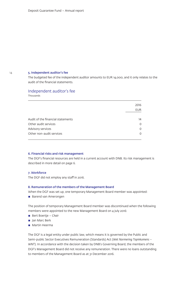#### 5. Independent auditor's fee

The budgeted fee of the independent auditor amounts to EUR 14,000, and it only relates to the audit of the financial statements.

## Independent auditor's fee

Thousands

|                                   | 2016       |
|-----------------------------------|------------|
|                                   | <b>EUR</b> |
| Audit of the financial statements | 14         |
| Other audit services              | $\Omega$   |
| Advisory services                 | 0          |
| Other non-audit services          | 0          |
|                                   |            |

#### 6. Financial risks and risk management

The DGF's financial resources are held in a current account with DNB. Its risk management is described in more detail on page 6.

#### 7. Workforce

The DGF did not employ any staff in 2016.

#### 8. Remuneration of the members of the Management Board

When the DGF was set up, one temporary Management Board member was appointed:

■ Barend van Amerongen

The position of temporary Management Board member was discontinued when the following members were appointed to the new Management Board on 4 July 2016:

- Bert Boertje Chair
- Jan Marc Berk
- $\blacksquare$  Martin Heerma

The DGF is a legal entity under public law, which means it is governed by the Public and Semi-public Sector Executives Remuneration (Standards) Act (*Wet Normering Topinkomens – WNT*). In accordance with the decision taken by DNB's Governing Board, the members of the DGF's Management Board did not receive any remuneration. There were no loans outstanding to members of the Management Board as at 31 December 2016.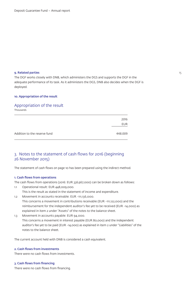#### 9. Related parties

The DGF works closely with DNB, which administers the DGS and supports the DGF in the adequate performance of its task. As it administers the DGS, DNB also decides when the DGF is deployed.

#### 10. Appropriation of the result

## Appropriation of the result

Thousands

|                              | 2016       |
|------------------------------|------------|
|                              | <b>EUR</b> |
| Addition to the reserve fund | 448,009    |

## 3. Notes to the statement of cash flows for 2016 (beginning 26 November 2015)

The statement of cash flows on page 10 has been prepared using the indirect method.

#### 1. Cash flows from operations

The cash flows from operations (2016: EUR 336,967,000) can be broken down as follows:

1.1 Operational result: EUR 448,009,000.

This is the result as stated in the statement of income and expenditure.

- 1.2 Movement in accounts receivable: EUR -111,136,000. This concerns a movement in contributions receivable (EUR -111,122,000) and the reimbursement for the independent auditor's fee yet to be received (EUR -14,000) as explained in item 2 under "Assets" of the notes to the balance sheet.
- 1.3 Movement in accounts payable: EUR 94,000. This concerns a movement in interest payable (EUR 80,000) and the independent auditor's fee yet to be paid (EUR -14,000) as explained in item 2 under "Liabilities" of the notes to the balance sheet.

The current account held with DNB is considered a cash equivalent.

#### 2. Cash flows from investments

There were no cash flows from investments.

3. Cash flows from financing

There were no cash flows from financing.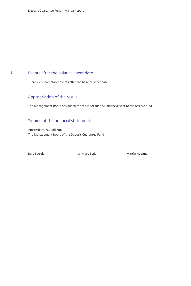## Events after the balance sheet date

There were no notable events after the balance sheet date.

## Appropriation of the result

The Management Board has added the result for the 2016 financial year to the reserve fund.

## Signing of the financial statements

Amsterdam, 26 April 2017 The Management Board of the Deposit Guarantee Fund

Bert Boertje Names (Jan Marc Berk Martin Heerman Martin Heerman Martin Heerman Martin Heerman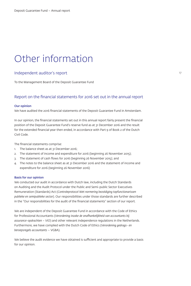## Other information

## Independent auditor's report

To the Management Board of the Deposit Guarantee Fund

## Report on the financial statements for 2016 set out in the annual report

#### Our opinion

We have audited the 2016 financial statements of the Deposit Guarantee Fund in Amsterdam.

In our opinion, the financial statements set out in this annual report fairly present the financial position of the Deposit Guarantee Fund's reserve fund as at 31 December 2016 and the result for the extended financial year then ended, in accordance with Part 9 of Book 2 of the Dutch Civil Code.

The financial statements comprise:

- 1. The balance sheet as at 31 December 2016;
- 2. The statement of income and expenditure for 2016 (beginning 26 November 2015);
- 3. The statement of cash flows for 2016 (beginning 26 November 2015); and
- 4. The notes to the balance sheet as at 31 December 2016 and the statement of income and expenditure for 2016 (beginning 26 November 2016)

#### Basis for our opinion

We conducted our audit in accordance with Dutch law, including the Dutch Standards on Auditing and the Audit Protocol under the Public and Semi-public Sector Executives Remuneration (Standards) Act (*Controleprotocol Wet normering bezoldiging topfunctionarissen publieke en semipublieke sector*). Our responsibilities under those standards are further described in the "Our responsibilities for the audit of the financial statements" section of our report.

We are independent of the Deposit Guarantee Fund in accordance with the Code of Ethics for Professional Accountants (*Verordening inzake de onafhankelijkheid van accountants bij assurance-opdrachten – ViO*) and other relevant independence regulations in the Netherlands. Furthermore, we have complied with the Dutch Code of Ethics (*Verordening gedrags- en beroepsregels accountants* – VGBA).

We believe the audit evidence we have obtained is sufficient and appropriate to provide a basis for our opinion.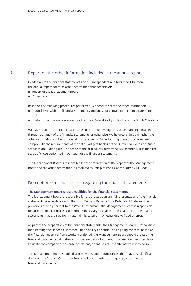## Report on the other information included in the annual report

In addition to the financial statements and our independent auditor's report thereon, the annual report contains other information that consists of:

- Report of the Management Board
- Other data

Based on the following procedures performed, we conclude that the other information:

- **E** is consistent with the financial statements and does not contain material misstatements; and
- contains the information as required by the *Kzbo* and Part 9 of Book 2 of the Dutch Civil Code.

We have read the other information. Based on our knowledge and understanding obtained through our audit of the financial statements or otherwise, we have considered whether the other information contains material misstatements. By performing these procedures, we comply with the requirements of the *Kzbo*, Part 9 of Book 2 of the Dutch Civil Code and Dutch Standard on Auditing 720. The scope of the procedures performed is substantially less than the scope of those performed in our audit of the financial statements.

The Management Board is responsible for the preparation of the Report of the Management Board and the other information, as required by Part 9 of Book 2 of the Dutch Civil Code.

## Description of responsibilities regarding the financial statements

#### The Management Board's responsibilities for the financial statements

The Management Board is responsible for the preparation and fair presentation of the financial statements in accordance with the *Kzbo*, Part 9 of Book 2 of the Dutch Civil Code and the provisions of and pursuant to the *WNT*. Furthermore, the Management Board is responsible for such internal control as it determines necessary to enable the preparation of the financial statements that are free from material misstatement, whether due to fraud or error.

As part of the preparation of the financial statements, the Management Board is responsible for assessing the Deposit Guarantee Fund's ability to continue as a going concern. Based on the financial reporting frameworks mentioned, the Management Board should prepare the financial statements using the going concern basis of accounting unless it either intends to liquidate the company or to cease operations, or has no realistic alternative but to do so.

The Management Board should disclose events and circumstances that may cast significant doubt on the Deposit Guarantee Fund's ability to continue as a going concern in the financial statements.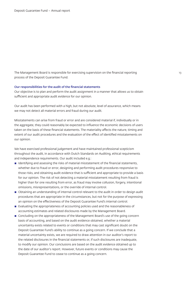The Management Board is responsible for exercising supervision on the financial reporting 19 process of the Deposit Guarantee Fund.

#### Our responsibilities for the audit of the financial statements

Our objective is to plan and perform the audit assignment in a manner that allows us to obtain sufficient and appropriate audit evidence for our opinion.

Our audit has been performed with a high, but not absolute, level of assurance, which means we may not detect all material errors and fraud during our audit.

Misstatements can arise from fraud or error and are considered material if, individually or in the aggregate, they could reasonably be expected to influence the economic decisions of users taken on the basis of these financial statements. The materiality affects the nature, timing and extent of our audit procedures and the evaluation of the effect of identified misstatements on our opinion.

We have exercised professional judgement and have maintained professional scepticism throughout the audit, in accordance with Dutch Standards on Auditing, ethical requirements and independence requirements. Our audit included e.g.:

- **I** Identifying and assessing the risks of material misstatement of the financial statements, whether due to fraud or error, designing and performing audit procedures responsive to those risks, and obtaining audit evidence that is sufficient and appropriate to provide a basis for our opinion. The risk of not detecting a material misstatement resulting from fraud is higher than for one resulting from error, as fraud may involve collusion, forgery, intentional omissions, misrepresentations, or the override of internal control.
- **D** Obtaining an understanding of internal control relevant to the audit in order to design audit procedures that are appropriate in the circumstances, but not for the purpose of expressing an opinion on the effectiveness of the Deposit Guarantee Fund's internal control.
- $\blacksquare$  Evaluating the appropriateness of accounting policies used and the reasonableness of accounting estimates and related disclosures made by the Management Board.
- **EXECONCIDENT CONCLUDING ON THE APPROX** Concluding on the appropriateness of the lost of the going concern basis of accounting, and based on the audit evidence obtained, whether a material uncertainty exists related to events or conditions that may cast significant doubt on the Deposit Guarantee Fund's ability to continue as a going concern. If we conclude that a material uncertainty exists, we are required to draw attention in our auditor's report to the related disclosures in the financial statements or, if such disclosures are inadequate, to modify our opinion. Our conclusions are based on the audit evidence obtained up to the date of our auditor's report. However, future events or conditions may cause the Deposit Guarantee Fund to cease to continue as a going concern.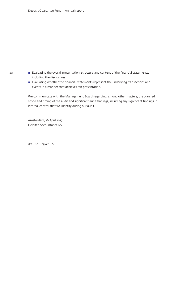- Evaluating the overall presentation, structure and content of the financial statements, including the disclosures.
- $\blacksquare$  Evaluating whether the financial statements represent the underlying transactions and events in a manner that achieves fair presentation.

We communicate with the Management Board regarding, among other matters, the planned scope and timing of the audit and significant audit findings, including any significant findings in internal control that we identify during our audit.

Amsterdam, 26 April 2017 Deloitte Accountants B.V.

drs. R.A. Spijker RA